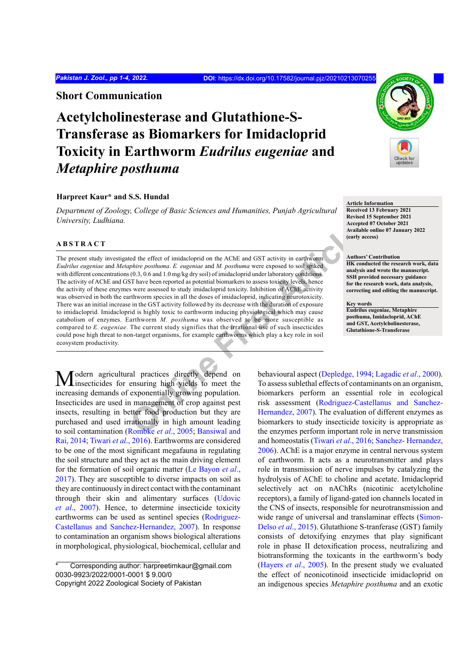**Short Communication**

# **Acetylcholinesterase and Glutathione-S-Transferase as Biomarkers for Imidacloprid Toxicity in Earthworm** *Eudrilus eugeniae* **and**  *Metaphire posthuma*

# **Harpreet Kaur\* and S.S. Hundal**

*Department of Zoology, College of Basic Sciences and Humanities, Punjab Agricultural University, Ludhiana.*

# **ABSTRACT**

A a structure of imidacloprid on the AChE and GST activity in earthworm<br> *[O](#page-3-0)*<sub>C</sub>(0,3,06 and 1.0 mg/kg dry solid conducts are exposed to soil spiked<br>
(0.1,3,06 and 1.0 mg/kg dry solid conducts are exposed to soil spiked<br>
(0. The present study investigated the effect of imidacloprid on the AChE and GST activity in earthworm *Eudrilus eugeniae* and *Metaphire posthuma*. *E. eugeniae* and *M. posthuma* were exposed to soil spiked with different concentrations (0.3, 0.6 and 1.0 mg/kg dry soil) of imidacloprid under laboratory conditions. The activity of AChE and GST have been reported as potential biomarkers to assess toxicity levels, hence the activity of these enzymes were assessed to study imidacloprid toxicity. Inhibition of AChE activity was observed in both the earthworm species in all the doses of imidacloprid, indicating neurotoxicity. There was an initial increase in the GST activity followed by its decrease with the duration of exposure to imidacloprid. Imidacloprid is highly toxic to earthworm inducing physiological which may cause catabolism of enzymes. Earthworm *M. posthuma* was observed to be more susceptible as compared to *E. eugeniae.* The current study signifies that the irrational use of such insecticides could pose high threat to non-target organisms, for example earthworms which play a key role in soil ecosystem productivity.

Todern agricultural practices directly depend on insecticides for ensuring high yields to meet the increasing demands of exponentially growing population. Insecticides are used in management of crop against pest insects, resulting in better food production but they are purchased and used irrationally in high amount leading to soil contamination (Rombke *et al*., 2005; Bansiwal and [Rai, 201](#page-2-0)4; [Tiwari](#page-3-1) *et al*., 2016). Earthworms are considered to be one of the most significant megafauna in regulating the soil structure and they act as the main driving element for the formation of soil organic matter [\(Le Bayon](#page-3-2) *et al*., [2017\)](#page-3-2). They are susceptible to diverse impacts on soil as they are continuously in direct contact with the contaminant through their skin and alimentary surfaces ([Udovic](#page-3-3) *et al*[., 2007](#page-3-3)). Hence, to determine insecticide toxicity earthworms can be used as sentinel species [\(Rodriguez-](#page-3-4)[Castellanus and Sanchez-Hernandez, 2007\)](#page-3-4). In response to contamination an organism shows biological alterations in morphological, physiological, biochemical, cellular and

Corresponding author: harpreetimkaur@gmail.com 0030-9923/2022/0001-0001 \$ 9.00/0

**Article Information Received 13 February 2021 Revised 15 September 2021 Accepted 07 October 2021 Available online 07 January 2022 (early access)**

#### **Authors' Contribution**

**HK conducted the research work, data analysis and wrote the manuscript. SSH provided necessary guidance for the research work, data analysis, correcting and editing the manuscript.**

#### **Key words**

**Eudrilus eugeniae, Metaphire posthuma, Imidacloprid, AChE and GST, Acetylcholinesterase, Glutathione-S-Transferase**

behavioural aspect (Depledge, 1994; [Lagadic](#page-3-5) *et al*., 2000). To assess sublethal effects of contaminants on an organism, biomarkers perform an essential role in ecological risk assessment [\(Rodriguez-Castellanus and Sanchez-](#page-3-4)Hernandez, 2007). The evaluation of different enzymes as biomarkers to study insecticide toxicity is appropriate as the enzymes perform important role in nerve transmission and homeostatis ([Tiwari](#page-3-1) *et al*., 2016; [Sanchez- Hernandez,](#page-3-6) [2006\)](#page-3-6). AChE is a major enzyme in central nervous system of earthworm. It acts as a neurotransmitter and plays role in transmission of nerve impulses by catalyzing the hydrolysis of AChE to choline and acetate. Imidacloprid selectively act on nAChRs (nicotinic acetylcholine receptors), a family of ligand-gated ion channels located in the CNS of insects, responsible for neurotransmission and wide range of universal and translaminar effects [\(Simon-](#page-3-7)Delso *et al*[., 2015](#page-3-7)). Glutathione S-tranferase (GST) family consists of detoxifying enzymes that play significant role in phase II detoxification process, neutralizing and biotransforming the toxicants in the earthworm's body [\(Hayers](#page-3-8) *et al*., 2005). In the present study we evaluated the effect of neonicotinoid insecticide imidacloprid on an indigenous species *Metaphire posthuma* and an exotic



Copyright 2022 Zoological Society of Pakistan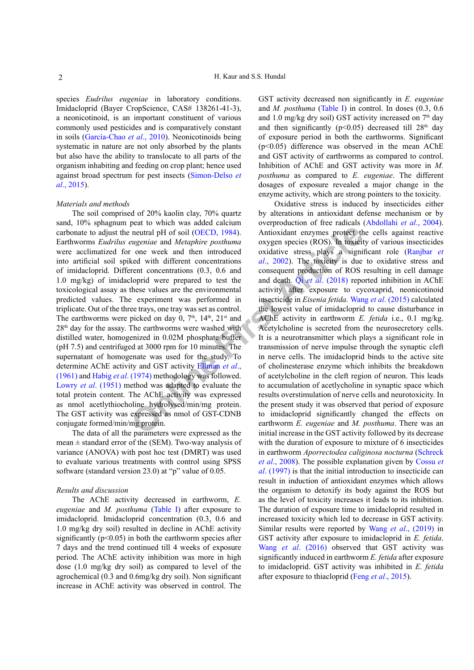species *Eudrilus eugeniae* in laboratory conditions. Imidacloprid (Bayer CropScience, CAS# 138261-41-3), a neonicotinoid, is an important constituent of various commonly used pesticides and is comparatively constant in soils (García-Chao *et al*., 2010). Neonicotinoids being systematic in nature are not only absorbed by the plants but also have the ability to translocate to all parts of the organism inhabiting and feeding on crop plant; hence used against broad spectrum for pest insects [\(Simon-Delso](#page-3-7) *et al*[., 2015\)](#page-3-7).

## *Materials and methods*

**EXECUTE:**<br> **PRODUSE THE ACTE ACTE ACTE ACTE ACTE ACTE ACTE and the present and Metaphire posthuma<br>
<b>CONFIGUATE:** o[ne](#page-2-2) week and then introduced oxidative stress plays a significal<br>
Example the introduced oxidative stress p The soil comprised of 20% kaolin clay, 70% quartz sand, 10% sphagnum peat to which was added calcium carbonate to adjust the neutral pH of soil (OECD, 1984). Earthworms *Eudrilus eugeniae* and *Metaphire posthuma* were acclimatized for one week and then introduced into artificial soil spiked with different concentrations of imidacloprid. Different concentrations (0.3, 0.6 and 1.0 mg/kg) of imidacloprid were prepared to test the toxicological assay as these values are the environmental predicted values. The experiment was performed in triplicate. Out of the three trays, one tray was set as control. The earthworms were picked on day 0,  $7<sup>th</sup>$ ,  $14<sup>th</sup>$ ,  $21<sup>st</sup>$  and  $28<sup>th</sup>$  day for the assay. The earthworms were washed with distilled water, homogenized in 0.02M phosphate buffer (pH 7.5) and centrifuged at 3000 rpm for 10 minutes. The supernatant of homogenate was used for the study. To determine AChE activity and GST activity Ellman *et al*., [\(1961\)](#page-2-2) and Habig *et al*. (1974) methodology was followed. Lowry *et al*[. \(1951\)](#page-3-11) method was adapted to evaluate the total protein content. The AChE activity was expressed as nmol acetlythiocholine hydrolysed/min/mg protein. The GST activity was expressed as nmol of GST-CDNB conjugate formed/min/mg protein.

The data of all the parameters were expressed as the mean  $\pm$  standard error of the (SEM). Two-way analysis of variance (ANOVA) with post hoc test (DMRT) was used to evaluate various treatments with control using SPSS software (standard version 23.0) at "p" value of 0.05.

#### *Results and discussion*

The AChE activity decreased in earthworm, *E. eugeniae* and *M. posthuma* [\(Table I](#page-2-3)) after exposure to imidacloprid. Imidacloprid concentration (0.3, 0.6 and 1.0 mg/kg dry soil) resulted in decline in AChE activity significantly  $(p<0.05)$  in both the earthworm species after 7 days and the trend continued till 4 weeks of exposure period. The AChE activity inhibition was more in high dose (1.0 mg/kg dry soil) as compared to level of the agrochemical (0.3 and 0.6mg/kg dry soil). Non significant increase in AChE activity was observed in control. The GST activity decreased non significantly in *E. eugeniae* and *M. posthuma* [\(Table I](#page-2-3)) in control. In doses (0.3, 0.6 and 1.0 mg/kg dry soil) GST activity increased on  $7<sup>th</sup>$  day and then significantly ( $p \le 0.05$ ) decreased till 28<sup>th</sup> day of exposure period in both the earthworms. Significant (p<0.05) difference was observed in the mean AChE and GST activity of earthworms as compared to control. Inhibition of AChE and GST activity was more in *M. posthuma* as compared to *E. eugeniae*. The different dosages of exposure revealed a major change in the enzyme activity, which are strong pointers to the toxicity.

Oxidative stress is induced by insecticides either by alterations in antioxidant defense mechanism or by overproduction of free radicals ([Abdollahi](#page-2-4) *et al*., 2004). Antioxidant enzymes protect the cells against reactive oxygen species (ROS). In toxicity of various insecticides oxidative stress plays a significant role ([Ranjbar](#page-3-12) *et al*., 2002). The toxicity is due to oxidative stress and consequent production of ROS resulting in cell damage and death. Qi *et al*. (2018) reported inhibition in AChE activity after exposure to cycoxaprid, neonicotinoid insecticide in *Eisenia fetida.* Wang *et al*[. \(2015\)](#page-3-14) calculated the lowest value of imidacloprid to cause disturbance in AChE activity in earthworm *E. fetida* i.e., 0.1 mg/kg. Acetylcholine is secreted from the neurosecretory cells. It is a neurotransmitter which plays a significant role in transmission of nerve impulse through the synaptic cleft in nerve cells. The imidacloprid binds to the active site of cholinesterase enzyme which inhibits the breakdown of acetylcholine in the cleft region of neuron. This leads to accumulation of acetlycholine in synaptic space which results overstimulation of nerve cells and neurotoxicity. In the present study it was observed that period of exposure to imidacloprid significantly changed the effects on earthworm *E. eugeniae* and *M. posthuma*. There was an initial increase in the GST activity followed by its decrease with the duration of exposure to mixture of 6 insecticides in earthworm *Aporrectodea caliginosa nocturna* [\(Schreck](#page-3-15) *et al*[., 2008](#page-3-15)). The possible explanation given by [Cossu](#page-2-5) *et al*[. \(1997\)](#page-2-5) is that the initial introduction to insecticide can result in induction of antioxidant enzymes which allows the organism to detoxify its body against the ROS but as the level of toxicity increases it leads to its inhibition. The duration of exposure time to imidacloprid resulted in increased toxicity which led to decrease in GST activity. Similar results were reported by Wang *et al*[., \(2019\)](#page-3-16) in GST activity after exposure to imidacloprid in *E. fetida*. Wang *et al*[. \(2016\)](#page-3-17) observed that GST activity was significantly induced in earthworm *E. fetida* after exposure to imidacloprid. GST activity was inhibited in *E. fetida* after exposure to thiacloprid (Feng *et al*[., 2015](#page-2-6)).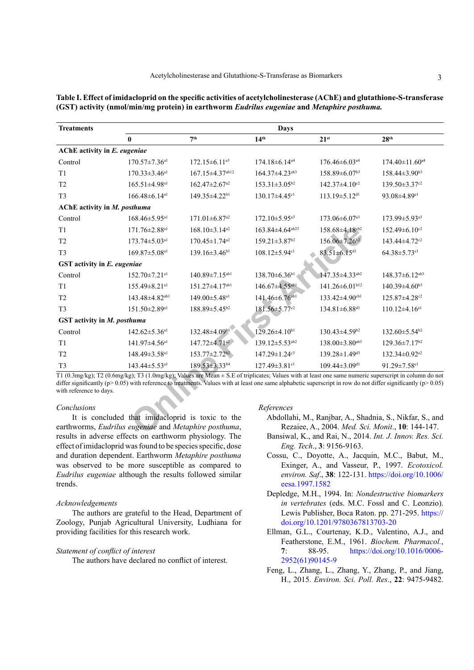| <b>Treatments</b>            | Days                                                                                                                                                                                                                                                                                                                                                                                                                                                    |                                  |                                  |                                 |                                                                                                                                                                                                                                                                                                                                                                                                                       |
|------------------------------|---------------------------------------------------------------------------------------------------------------------------------------------------------------------------------------------------------------------------------------------------------------------------------------------------------------------------------------------------------------------------------------------------------------------------------------------------------|----------------------------------|----------------------------------|---------------------------------|-----------------------------------------------------------------------------------------------------------------------------------------------------------------------------------------------------------------------------------------------------------------------------------------------------------------------------------------------------------------------------------------------------------------------|
|                              | $\mathbf{0}$                                                                                                                                                                                                                                                                                                                                                                                                                                            | 7 <sup>th</sup>                  | 14 <sup>th</sup>                 | $21^{st}$                       | 28 <sup>th</sup>                                                                                                                                                                                                                                                                                                                                                                                                      |
| AChE activity in E. eugeniae |                                                                                                                                                                                                                                                                                                                                                                                                                                                         |                                  |                                  |                                 |                                                                                                                                                                                                                                                                                                                                                                                                                       |
| Control                      | $170.57 \pm 7.36$ <sup>a1</sup>                                                                                                                                                                                                                                                                                                                                                                                                                         | $172.15 \pm 6.11^{a3}$           | 174.18±6.14 <sup>a4</sup>        | $176.46 \pm 6.03$ <sup>a4</sup> | $174.40 \pm 11.60$ <sup>a4</sup>                                                                                                                                                                                                                                                                                                                                                                                      |
| T1                           | $170.33 \pm 3.46$ <sup>a1</sup>                                                                                                                                                                                                                                                                                                                                                                                                                         | 167.15±4.37ab12                  | $164.37 \pm 4.23$ <sup>ab3</sup> | 158.89±6.07 <sup>b3</sup>       | $158.44\pm3.90^{b3}$                                                                                                                                                                                                                                                                                                                                                                                                  |
| T <sub>2</sub>               | 165.51±4.98 <sup>a1</sup>                                                                                                                                                                                                                                                                                                                                                                                                                               | $162.47 \pm 2.67$ <sup>a2</sup>  | $153.31 \pm 3.05^{b2}$           | $142.37 \pm 4.10^{c2}$          | $139.50 \pm 3.37$ <sup>c2</sup>                                                                                                                                                                                                                                                                                                                                                                                       |
| T <sub>3</sub>               | $166.48\pm6.14a1$                                                                                                                                                                                                                                                                                                                                                                                                                                       | 149.35±4.22b1                    | 130.17±4.45 <sup>c1</sup>        | 113.19±5.12 <sup>d1</sup>       | 93.08±4.89 <sup>e1</sup>                                                                                                                                                                                                                                                                                                                                                                                              |
| AChE activity in M. posthuma |                                                                                                                                                                                                                                                                                                                                                                                                                                                         |                                  |                                  |                                 |                                                                                                                                                                                                                                                                                                                                                                                                                       |
| Control                      | 168.46±5.95 <sup>a1</sup>                                                                                                                                                                                                                                                                                                                                                                                                                               | $171.01 \pm 6.87$ <sup>a2</sup>  | $172.10 \pm 5.95$ <sup>a3</sup>  | 173.06±6.07 <sup>a3</sup>       | 173.99±5.93 <sup>a3</sup>                                                                                                                                                                                                                                                                                                                                                                                             |
| T1                           | 171.76±2.88 <sup>a1</sup>                                                                                                                                                                                                                                                                                                                                                                                                                               | $168.10\pm3.14^{a2}$             | 163.84±4.64 <sup>ab23</sup>      | 158.68±4.18cb2                  | $152.49 \pm 6.10^{c2}$                                                                                                                                                                                                                                                                                                                                                                                                |
| T <sub>2</sub>               | 173.74±5.03 <sup>a1</sup>                                                                                                                                                                                                                                                                                                                                                                                                                               | $170.45 \pm 1.74$ <sup>a2</sup>  | 159.21±3.87 <sup>b2</sup>        | 156.06±7.26 <sup>b2</sup>       | 143.44±4.72 <sup>c2</sup>                                                                                                                                                                                                                                                                                                                                                                                             |
| T <sub>3</sub>               | 169.87±5.08 <sup>a1</sup>                                                                                                                                                                                                                                                                                                                                                                                                                               | $139.16 \pm 3.46^{b1}$           | 108.12±5.94 <sup>c1</sup>        | $83.51 \pm 6.15$ <sup>d1</sup>  | $64.38 \pm 5.73$ <sup>e1</sup>                                                                                                                                                                                                                                                                                                                                                                                        |
| GST activity in E. eugeniae  |                                                                                                                                                                                                                                                                                                                                                                                                                                                         |                                  |                                  |                                 |                                                                                                                                                                                                                                                                                                                                                                                                                       |
| Control                      | $152.70 \pm 7.21$ <sup>a1</sup>                                                                                                                                                                                                                                                                                                                                                                                                                         | $140.89 \pm 7.15$ <sup>ab1</sup> | 138.70±6.36 <sup>b1</sup>        | 147.35±4.33ab2                  | 148.37±6.12 <sup>ab3</sup>                                                                                                                                                                                                                                                                                                                                                                                            |
| T1                           | 155.49±8.21 <sup>a1</sup>                                                                                                                                                                                                                                                                                                                                                                                                                               | 151.27±4.17ab1                   | 146.67±4.55 <sup>ab1</sup>       | 141.26±6.01 <sup>b12</sup>      | $140.39\pm4.60^{b3}$                                                                                                                                                                                                                                                                                                                                                                                                  |
| T <sub>2</sub>               | 143.48±4.82 <sup>ab1</sup>                                                                                                                                                                                                                                                                                                                                                                                                                              | 149.00±5.48 <sup>a1</sup>        | 141.46±6.76 <sup>ab1</sup>       | 133.42±4.90cb1                  | 125.87±4.28 <sup>c2</sup>                                                                                                                                                                                                                                                                                                                                                                                             |
| T <sub>3</sub>               | 151.50±2.89 <sup>a1</sup>                                                                                                                                                                                                                                                                                                                                                                                                                               | 188.89±5.45 <sup>b2</sup>        | 181.56±5.77 <sup>c2</sup>        | 134.81±6.88 <sup>d1</sup>       | $110.12\pm4.16$ <sup>e1</sup>                                                                                                                                                                                                                                                                                                                                                                                         |
| GST activity in M. posthuma  |                                                                                                                                                                                                                                                                                                                                                                                                                                                         |                                  |                                  |                                 |                                                                                                                                                                                                                                                                                                                                                                                                                       |
| Control                      | $142.62 \pm 5.36$ <sup>a1</sup>                                                                                                                                                                                                                                                                                                                                                                                                                         | 132.48±4.09 <sup>b1</sup>        | $129.26 \pm 4.10^{b1}$           | 130.43±4.59 <sup>b2</sup>       | 132.60±5.54 <sup>b2</sup>                                                                                                                                                                                                                                                                                                                                                                                             |
| T1                           | 141.97±4.56 <sup>a1</sup>                                                                                                                                                                                                                                                                                                                                                                                                                               | $147.72 \pm 4.71$ <sup>a2</sup>  | 139.12±5.53 <sup>ab2</sup>       | 138.00±3.80ab3                  | $129.36 \pm 7.17^{b2}$                                                                                                                                                                                                                                                                                                                                                                                                |
| T <sub>2</sub>               | 148.49±3.58 <sup>a1</sup>                                                                                                                                                                                                                                                                                                                                                                                                                               | $153.77 \pm 2.72$ <sup>b2</sup>  | 147.29±1.24 <sup>c3</sup>        | 139.28±1.49 <sup>d3</sup>       | 132.34±0.92 <sup>e2</sup>                                                                                                                                                                                                                                                                                                                                                                                             |
| T <sub>3</sub>               | 143.44±5.53 <sup>a1</sup>                                                                                                                                                                                                                                                                                                                                                                                                                               | 189.53±3.33 <sup>b4</sup>        | 127.49±3.81cl                    | 109.44±3.09 <sup>d1</sup>       | 91.29±7.58 <sup>e1</sup>                                                                                                                                                                                                                                                                                                                                                                                              |
| with reference to days.      | T1 (0.3mg/kg); T2 (0.6mg/kg); T3 (1.0mg/kg); Values are Mean ± S.E of triplicates; Values with at least one same numeric superscript in column do not<br>differ significantly ( $p$ > 0.05) with reference to treatments. Values with at least one same alphabetic superscript in row do not differ significantly ( $p$ > 0.05)                                                                                                                         |                                  |                                  |                                 |                                                                                                                                                                                                                                                                                                                                                                                                                       |
| Conclusions                  |                                                                                                                                                                                                                                                                                                                                                                                                                                                         |                                  | References                       |                                 |                                                                                                                                                                                                                                                                                                                                                                                                                       |
|                              | It is concluded that imidacloprid is toxic to the<br>earthworms, Eudrilus eugeniae and Metaphire posthuma,<br>$\mathbf{1}$ , $\mathbf{1}$ , $\mathbf{1}$ , $\mathbf{1}$ , $\mathbf{1}$ , $\mathbf{1}$ , $\mathbf{1}$ , $\mathbf{1}$ , $\mathbf{1}$ , $\mathbf{1}$ , $\mathbf{1}$ , $\mathbf{1}$ , $\mathbf{1}$ , $\mathbf{1}$ , $\mathbf{1}$ , $\mathbf{1}$ , $\mathbf{1}$ , $\mathbf{1}$ , $\mathbf{1}$ , $\mathbf{1}$ , $\mathbf{1}$ , $\mathbf{1}$ , |                                  |                                  |                                 | Abdollahi, M., Ranjbar, A., Shadnia, S., Nikfar, S., and<br>Rezaiee, A., 2004. Med. Sci. Monit., 10: 144-147.<br>$\mathbf{r}$ in the set $\mathbf{A}$ of $\mathbf{A}$ is $\mathbf{r}$ if $\mathbf{r}$ is $\mathbf{r}$ if $\mathbf{r}$ is $\mathbf{r}$ if $\mathbf{r}$ is $\mathbf{r}$ if $\mathbf{r}$ is $\mathbf{r}$ if $\mathbf{r}$ is $\mathbf{r}$ if $\mathbf{r}$ is $\mathbf{r}$ if $\mathbf{r}$ is $\mathbf{r}$ |

<span id="page-2-3"></span>

| Table I. Effect of imidacloprid on the specific activities of acetylcholinesterase (AChE) and glutathione-S-transferase |
|-------------------------------------------------------------------------------------------------------------------------|
| (GST) activity (nmol/min/mg protein) in earthworm Eudrilus eugeniae and Metaphire posthuma.                             |

## *Conclusions*

It is concluded that imidacloprid is toxic to the earthworms, *Eudrilus eugeniae* and *Metaphire posthuma*, results in adverse effects on earthworm physiology. The effect of imidacloprid was found to be species specific, dose and duration dependent. Earthworm *Metaphire posthuma* was observed to be more susceptible as compared to *Eudrilus eugeniae* although the results followed similar trends.

## *Acknowledgements*

The authors are grateful to the Head, Department of Zoology, Punjab Agricultural University, Ludhiana for providing facilities for this research work.

#### *Statement of conflict of interest*

The authors have declared no conflict of interest.

#### *References*

- <span id="page-2-4"></span>Abdollahi, M., Ranjbar, A., Shadnia, S., Nikfar, S., and Rezaiee, A., 2004. *Med. Sci. Monit*., **10**: 144-147.
- <span id="page-2-0"></span>Bansiwal, K., and Rai, N., 2014. *Int. J. Innov. Res. Sci. Eng. Tech*., **3**: 9156-9163.
- <span id="page-2-5"></span>Cossu, C., Doyotte, A., Jacquin, M.C., Babut, M., Exinger, A., and Vasseur, P., 1997. *Ecotoxicol. environ. Saf*., **38**: 122-131. [https://doi.org/10.1006/](https://doi.org/10.1006/eesa.1997.1582) [eesa.1997.1582](https://doi.org/10.1006/eesa.1997.1582)
- <span id="page-2-1"></span>Depledge, M.H., 1994. In: *Nondestructive biomarkers in vertebrates* (eds. M.C. Fossl and C. Leonzio). Lewis Publisher, Boca Raton. pp. 271-295. [https://](https://doi.org/10.1201/9780367813703-20) [doi.org/10.1201/9780367813703-20](https://doi.org/10.1201/9780367813703-20)
- <span id="page-2-2"></span>Ellman, G.L., Courtenay, K.D., Valentino, A.J., and Featherstone, E.M., 1961. *Biochem. Pharmacol.*, **7**: 88-95. [https://doi.org/10.1016/0006-](https://doi.org/10.1016/0006-2952(61)90145-9) [2952\(61\)90145-9](https://doi.org/10.1016/0006-2952(61)90145-9)
- <span id="page-2-6"></span>Feng, L., Zhang, L., Zhang, Y., Zhang, P., and Jiang, H., 2015. *Environ. Sci. Poll. Res*., **22**: 9475-9482.